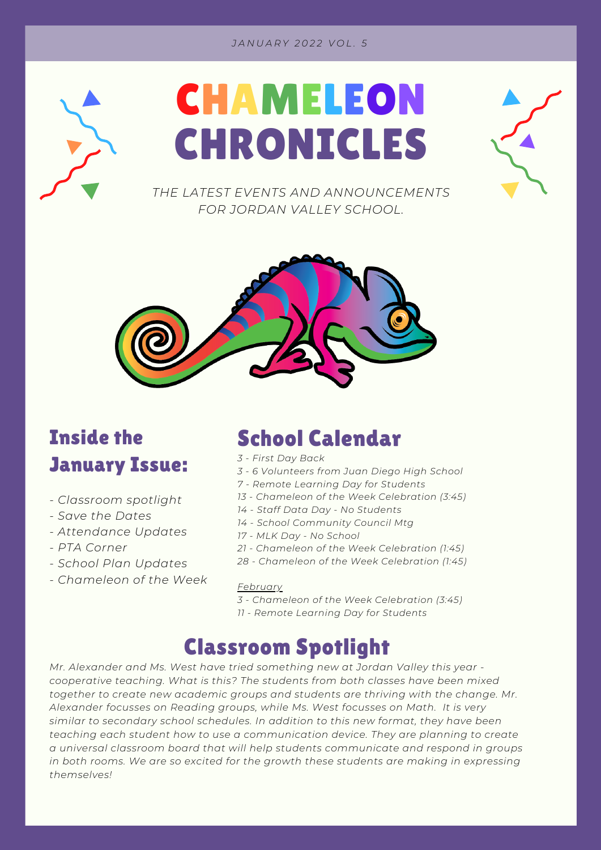#### *J A N U A R Y 2 0 2 2 V O L . 5*





*THE LATEST EVENTS AND ANNOUNCEMENTS FOR JORDAN VALLEY SCHOOL.*



## Inside the January Issue:

- *- Classroom spotlight*
- *- Save the Dates*
- *- Attendance Updates*
- *- PTA Corner*
- *- School Plan Updates*
- *- Chameleon of the Week*

### School Calendar

- *3 - First Day Back*
- *3 - 6 Volunteers from Juan Diego High School*
- *7 - Remote Learning Day for Students*
- *13 - Chameleon of the Week Celebration (3:45)*
- *14 - Staff Data Day - No Students*
- *14 - School Community Council Mtg*
- *17 - MLK Day - No School*
- *21 - Chameleon of the Week Celebration (1:45)*
- *28 - Chameleon of the Week Celebration (1:45)*

#### *February*

- *3 - Chameleon of the Week Celebration (3:45)*
- *11 - Remote Learning Day for Students*

## Classroom Spotlight

*Mr. Alexander and Ms. West have tried something new at Jordan Valley this year cooperative teaching. What is this? The students from both classes have been mixed together to create new academic groups and students are thriving with the change. Mr. Alexander focusses on Reading groups, while Ms. West focusses on Math. It is very similar to secondary school schedules. In addition to this new format, they have been teaching each student how to use a communication device. They are planning to create a universal classroom board that will help students communicate and respond in groups in both rooms. We are so excited for the growth these students are making in expressing themselves!*